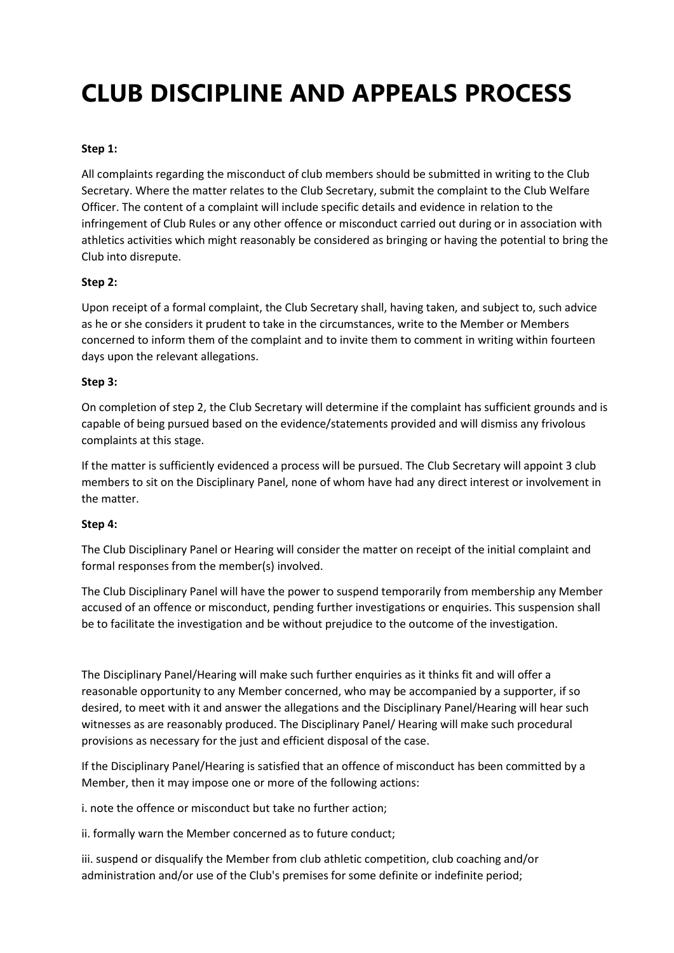# CLUB DISCIPLINE AND APPEALS PROCESS

#### Step 1:

All complaints regarding the misconduct of club members should be submitted in writing to the Club Secretary. Where the matter relates to the Club Secretary, submit the complaint to the Club Welfare Officer. The content of a complaint will include specific details and evidence in relation to the infringement of Club Rules or any other offence or misconduct carried out during or in association with athletics activities which might reasonably be considered as bringing or having the potential to bring the Club into disrepute.

#### Step 2:

Upon receipt of a formal complaint, the Club Secretary shall, having taken, and subject to, such advice as he or she considers it prudent to take in the circumstances, write to the Member or Members concerned to inform them of the complaint and to invite them to comment in writing within fourteen days upon the relevant allegations.

#### Step 3:

On completion of step 2, the Club Secretary will determine if the complaint has sufficient grounds and is capable of being pursued based on the evidence/statements provided and will dismiss any frivolous complaints at this stage.

If the matter is sufficiently evidenced a process will be pursued. The Club Secretary will appoint 3 club members to sit on the Disciplinary Panel, none of whom have had any direct interest or involvement in the matter.

## Step 4:

The Club Disciplinary Panel or Hearing will consider the matter on receipt of the initial complaint and formal responses from the member(s) involved.

The Club Disciplinary Panel will have the power to suspend temporarily from membership any Member accused of an offence or misconduct, pending further investigations or enquiries. This suspension shall be to facilitate the investigation and be without prejudice to the outcome of the investigation.

The Disciplinary Panel/Hearing will make such further enquiries as it thinks fit and will offer a reasonable opportunity to any Member concerned, who may be accompanied by a supporter, if so desired, to meet with it and answer the allegations and the Disciplinary Panel/Hearing will hear such witnesses as are reasonably produced. The Disciplinary Panel/ Hearing will make such procedural provisions as necessary for the just and efficient disposal of the case.

If the Disciplinary Panel/Hearing is satisfied that an offence of misconduct has been committed by a Member, then it may impose one or more of the following actions:

i. note the offence or misconduct but take no further action;

ii. formally warn the Member concerned as to future conduct;

iii. suspend or disqualify the Member from club athletic competition, club coaching and/or administration and/or use of the Club's premises for some definite or indefinite period;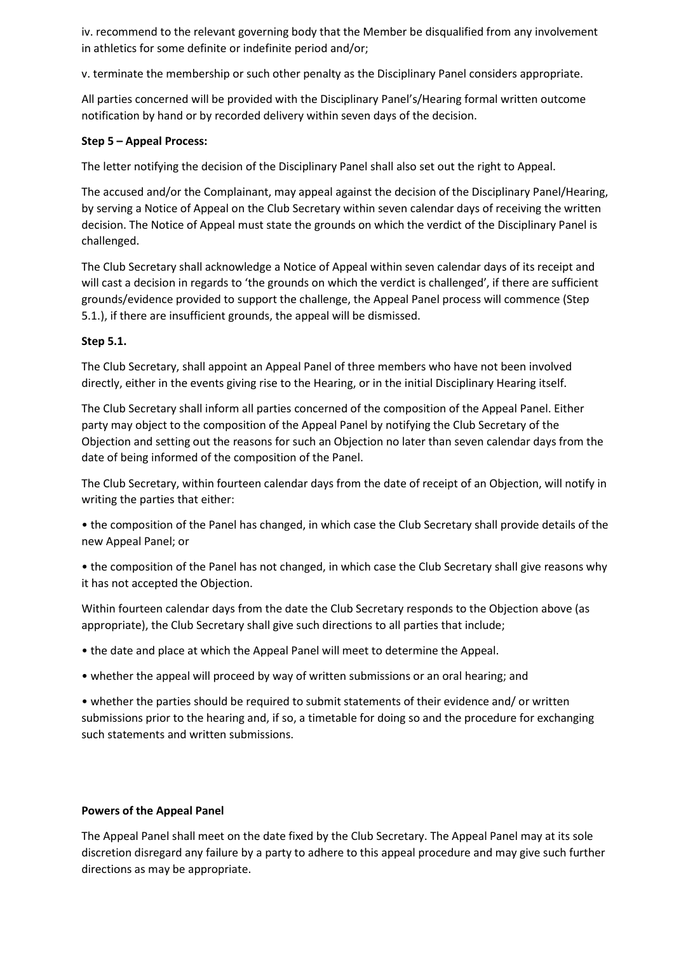iv. recommend to the relevant governing body that the Member be disqualified from any involvement in athletics for some definite or indefinite period and/or;

v. terminate the membership or such other penalty as the Disciplinary Panel considers appropriate.

All parties concerned will be provided with the Disciplinary Panel's/Hearing formal written outcome notification by hand or by recorded delivery within seven days of the decision.

### Step 5 – Appeal Process:

The letter notifying the decision of the Disciplinary Panel shall also set out the right to Appeal.

The accused and/or the Complainant, may appeal against the decision of the Disciplinary Panel/Hearing, by serving a Notice of Appeal on the Club Secretary within seven calendar days of receiving the written decision. The Notice of Appeal must state the grounds on which the verdict of the Disciplinary Panel is challenged.

The Club Secretary shall acknowledge a Notice of Appeal within seven calendar days of its receipt and will cast a decision in regards to 'the grounds on which the verdict is challenged', if there are sufficient grounds/evidence provided to support the challenge, the Appeal Panel process will commence (Step 5.1.), if there are insufficient grounds, the appeal will be dismissed.

#### Step 5.1.

The Club Secretary, shall appoint an Appeal Panel of three members who have not been involved directly, either in the events giving rise to the Hearing, or in the initial Disciplinary Hearing itself.

The Club Secretary shall inform all parties concerned of the composition of the Appeal Panel. Either party may object to the composition of the Appeal Panel by notifying the Club Secretary of the Objection and setting out the reasons for such an Objection no later than seven calendar days from the date of being informed of the composition of the Panel.

The Club Secretary, within fourteen calendar days from the date of receipt of an Objection, will notify in writing the parties that either:

• the composition of the Panel has changed, in which case the Club Secretary shall provide details of the new Appeal Panel; or

• the composition of the Panel has not changed, in which case the Club Secretary shall give reasons why it has not accepted the Objection.

Within fourteen calendar days from the date the Club Secretary responds to the Objection above (as appropriate), the Club Secretary shall give such directions to all parties that include;

• the date and place at which the Appeal Panel will meet to determine the Appeal.

• whether the appeal will proceed by way of written submissions or an oral hearing; and

• whether the parties should be required to submit statements of their evidence and/ or written submissions prior to the hearing and, if so, a timetable for doing so and the procedure for exchanging such statements and written submissions.

#### Powers of the Appeal Panel

The Appeal Panel shall meet on the date fixed by the Club Secretary. The Appeal Panel may at its sole discretion disregard any failure by a party to adhere to this appeal procedure and may give such further directions as may be appropriate.